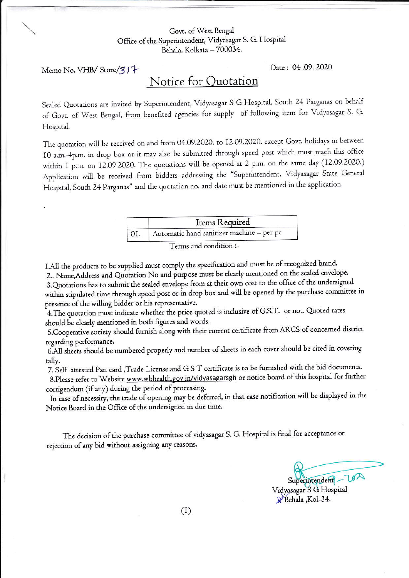## Govt. of West Bengal Office of the Superintendent, Vidyasagar S. G. Hospital Behala, Kolkata - 700034.

Memo No. VHB/Store/317

Date: 04.09.2020

## Notice for Quotation

Sealed Quotations are invited by Superintendent, Vidyasagar S G Hospital, South 24 Parganas on behalf of Govt. of West Bengal, from benefited agencies for supply of following item for Vidyasagar S. G. Hospital.

The quotation will be received on and from 04.09.2020. to 12.09.2020. except Govt. holidays in between 10 a.m.-4p.m. in drop box or it may also be submitted through speed post which must reach this office within I p.m. on I2.09.2020. The quotations will be opened at 2 p.m. on the same day (I2.09.2020.) Application will be received from bidders addressing the "Superintendent, Vidyasagar State General Hospital, South 24 Parganas" and the quotation no. and date must be mentioned in the application.

| Items Required                            |
|-------------------------------------------|
| Automatic hand sanitizer machine - per pc |

Terms and condition :-

I.All the products to be supplied must comply the specification and must be of recognized brand. 2.. Name, Address and Quotation No and purpose must be clearly mentioned on the sealed envelope. 3. Quotations has to submit the sealed envelope from at their own cost to the office of the undersigned within stipulated time through speed post or in drop box and will be opened by the purchase committee in presence of the willing bidder or his representative.

4. The quotation must indicate whether the price quoted is inclusive of G.S.T. or not. Quoted rates should be clearly mentioned in both figures and words.

5. Cooperative society should furnish along with their current certificate from ARCS of concerned district regarding performance.

6.All sheets should be numbered properly and number of sheets in each cover should be cited in covering tally.

7. Self attested Pan card, Trade License and GST certificate is to be furnished with the bid documents.

8. Please refer to Website www.wbhealth.gov.in/vidyasagarsgh or notice board of this hospital for further corrigendum (if any) during the period of processing.

In case of necessity, the trade of opening may be deferred, in that case notification will be displayed in the Notice Board in the Office of the undersigned in due time.

The decision of the purchase committee of vidyasagar S. G. Hospital is final for acceptance or rejection of any bid without assigning any reasons.

Superintendent - LOA Vidyasagar S G Hospital

Kol-34.